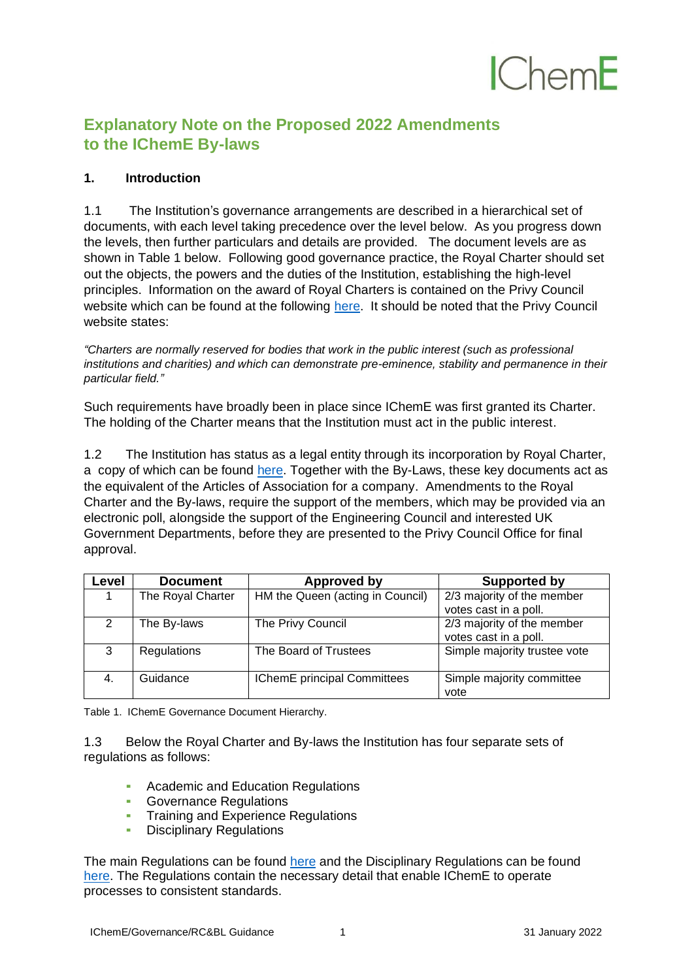# $C$ hem $F$

### **Explanatory Note on the Proposed 2022 Amendments to the IChemE By-laws**

#### **1. Introduction**

1.1 The Institution's governance arrangements are described in a hierarchical set of documents, with each level taking precedence over the level below. As you progress down the levels, then further particulars and details are provided. The document levels are as shown in Table 1 below. Following good governance practice, the Royal Charter should set out the objects, the powers and the duties of the Institution, establishing the high-level principles. Information on the award of Royal Charters is contained on the Privy Council website which can be found at the following [here.](https://privycouncil.independent.gov.uk/royal-charters/) It should be noted that the Privy Council website states:

*"Charters are normally reserved for bodies that work in the public interest (such as professional institutions and charities) and which can demonstrate pre-eminence, stability and permanence in their particular field."*

Such requirements have broadly been in place since IChemE was first granted its Charter. The holding of the Charter means that the Institution must act in the public interest.

1.2 The Institution has status as a legal entity through its incorporation by Royal Charter, a copy of which can be found [here.](https://www.icheme.org/about-us/governance/governance-documents/royal-charter-and-by-laws/) Together with the By-Laws, these key documents act as the equivalent of the Articles of Association for a company. Amendments to the Royal Charter and the By-laws, require the support of the members, which may be provided via an electronic poll, alongside the support of the Engineering Council and interested UK Government Departments, before they are presented to the Privy Council Office for final approval.

| Level         | <b>Document</b>   | Approved by                      | Supported by                                          |
|---------------|-------------------|----------------------------------|-------------------------------------------------------|
|               | The Royal Charter | HM the Queen (acting in Council) | 2/3 majority of the member<br>votes cast in a poll.   |
| $\mathcal{P}$ | The By-laws       | The Privy Council                | $2/3$ majority of the member<br>votes cast in a poll. |
| 3             | Regulations       | The Board of Trustees            | Simple majority trustee vote                          |
| 4.            | Guidance          | IChemE principal Committees      | Simple majority committee<br>vote                     |

Table 1. IChemE Governance Document Hierarchy.

1.3 Below the Royal Charter and By-laws the Institution has four separate sets of regulations as follows:

- Academic and Education Regulations
- **Governance Regulations**
- **EXTREE Training and Experience Regulations<br>
EXTREE Disciplinary Regulations**
- **Disciplinary Regulations**

The main Regulations can be found [here](https://www.icheme.org/about-us/governance/governance-documents/regulations/) and the Disciplinary Regulations can be found [here.](https://www.icheme.org/about-us/governance/code-of-professional-conduct/professional-conduct-and-disciplinary-regulations/) The Regulations contain the necessary detail that enable IChemE to operate processes to consistent standards.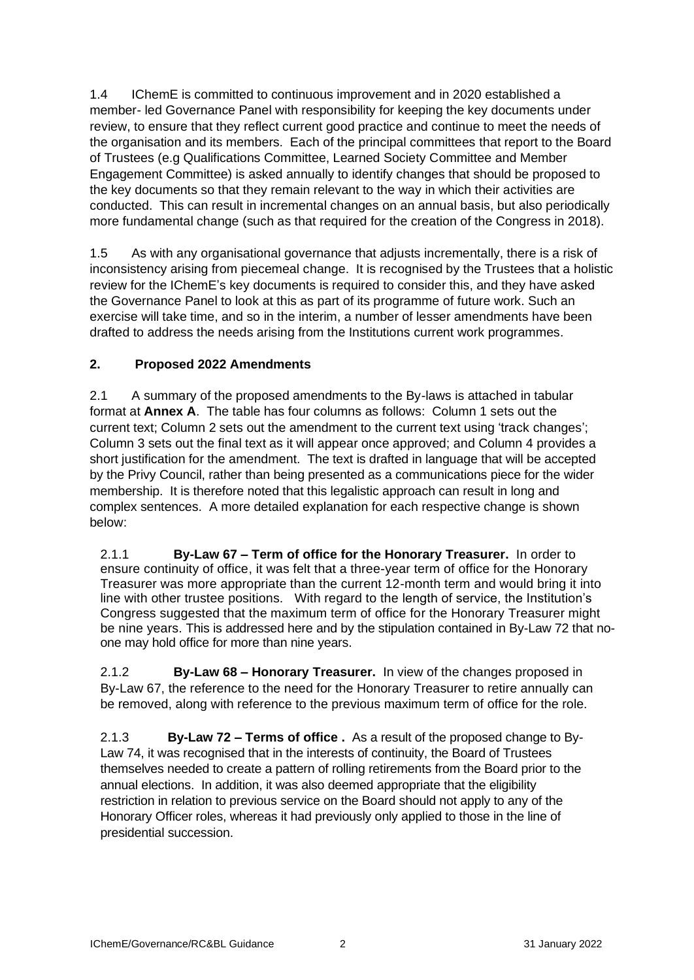1.4 IChemE is committed to continuous improvement and in 2020 established a member- led Governance Panel with responsibility for keeping the key documents under review, to ensure that they reflect current good practice and continue to meet the needs of the organisation and its members. Each of the principal committees that report to the Board of Trustees (e.g Qualifications Committee, Learned Society Committee and Member Engagement Committee) is asked annually to identify changes that should be proposed to the key documents so that they remain relevant to the way in which their activities are conducted. This can result in incremental changes on an annual basis, but also periodically more fundamental change (such as that required for the creation of the Congress in 2018).

1.5 As with any organisational governance that adjusts incrementally, there is a risk of inconsistency arising from piecemeal change. It is recognised by the Trustees that a holistic review for the IChemE's key documents is required to consider this, and they have asked the Governance Panel to look at this as part of its programme of future work. Such an exercise will take time, and so in the interim, a number of lesser amendments have been drafted to address the needs arising from the Institutions current work programmes.

#### **2. Proposed 2022 Amendments**

2.1 A summary of the proposed amendments to the By-laws is attached in tabular format at **Annex A**. The table has four columns as follows: Column 1 sets out the current text; Column 2 sets out the amendment to the current text using 'track changes'; Column 3 sets out the final text as it will appear once approved; and Column 4 provides a short justification for the amendment. The text is drafted in language that will be accepted by the Privy Council, rather than being presented as a communications piece for the wider membership. It is therefore noted that this legalistic approach can result in long and complex sentences. A more detailed explanation for each respective change is shown below:

2.1.1 **By-Law 67 – Term of office for the Honorary Treasurer.** In order to ensure continuity of office, it was felt that a three-year term of office for the Honorary Treasurer was more appropriate than the current 12-month term and would bring it into line with other trustee positions. With regard to the length of service, the Institution's Congress suggested that the maximum term of office for the Honorary Treasurer might be nine years. This is addressed here and by the stipulation contained in By-Law 72 that noone may hold office for more than nine years.

2.1.2 **By-Law 68 – Honorary Treasurer.** In view of the changes proposed in By-Law 67, the reference to the need for the Honorary Treasurer to retire annually can be removed, along with reference to the previous maximum term of office for the role.

2.1.3 **By-Law 72 – Terms of office .** As a result of the proposed change to By-Law 74, it was recognised that in the interests of continuity, the Board of Trustees themselves needed to create a pattern of rolling retirements from the Board prior to the annual elections. In addition, it was also deemed appropriate that the eligibility restriction in relation to previous service on the Board should not apply to any of the Honorary Officer roles, whereas it had previously only applied to those in the line of presidential succession.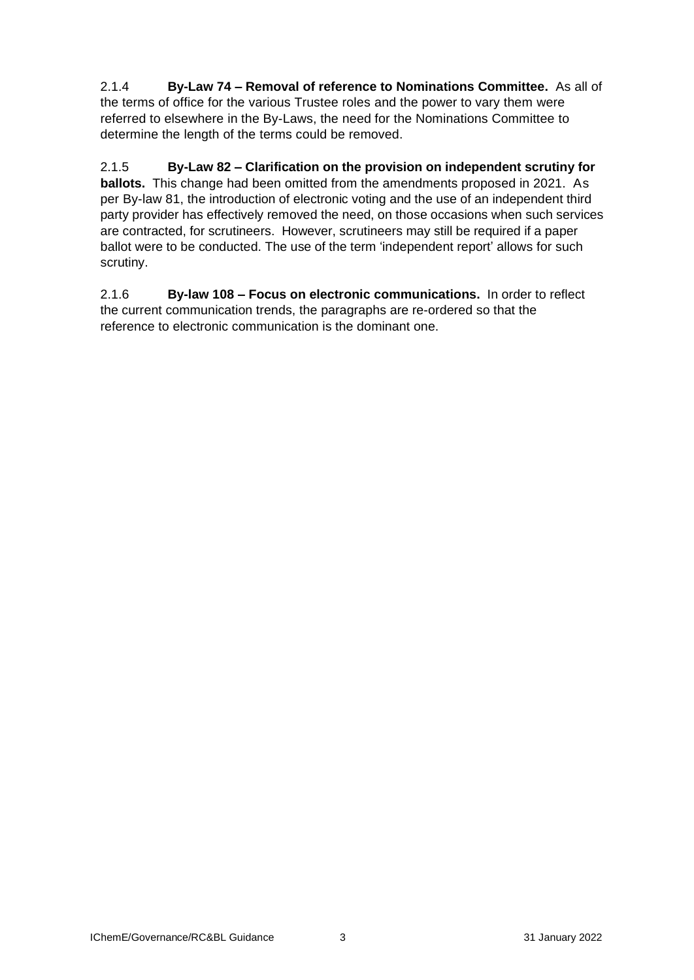2.1.4 **By-Law 74 – Removal of reference to Nominations Committee.** As all of the terms of office for the various Trustee roles and the power to vary them were referred to elsewhere in the By-Laws, the need for the Nominations Committee to determine the length of the terms could be removed.

2.1.5 **By-Law 82 – Clarification on the provision on independent scrutiny for ballots.** This change had been omitted from the amendments proposed in 2021. As per By-law 81, the introduction of electronic voting and the use of an independent third party provider has effectively removed the need, on those occasions when such services are contracted, for scrutineers. However, scrutineers may still be required if a paper ballot were to be conducted. The use of the term 'independent report' allows for such scrutiny.

2.1.6 **By-law 108 – Focus on electronic communications.** In order to reflect the current communication trends, the paragraphs are re-ordered so that the reference to electronic communication is the dominant one.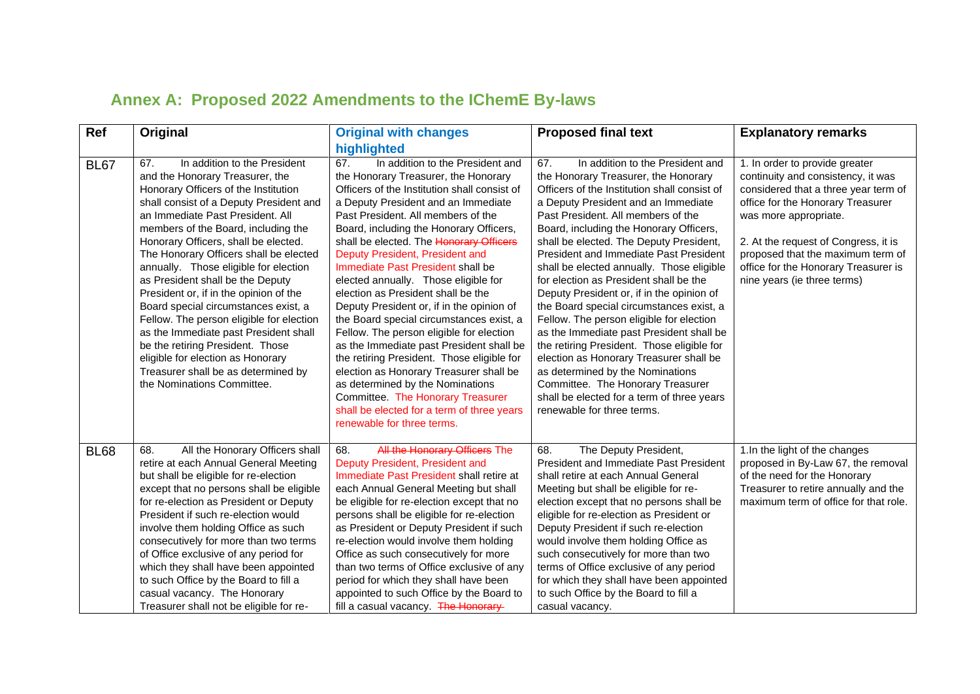## **Annex A: Proposed 2022 Amendments to the IChemE By-laws**

| Ref         | Original                                                                                                                                                                                                                                                                                                                                                                                                                                                                                                                                                                                                                                                                                                                 | <b>Original with changes</b>                                                                                                                                                                                                                                                                                                                                                                                                                                                                                                                                                                                                                                                                                                                                                                                                                                                            | <b>Proposed final text</b>                                                                                                                                                                                                                                                                                                                                                                                                                                                                                                                                                                                                                                                                                                                                                                                                                                         | <b>Explanatory remarks</b>                                                                                                                                                                                                                                                                                                     |
|-------------|--------------------------------------------------------------------------------------------------------------------------------------------------------------------------------------------------------------------------------------------------------------------------------------------------------------------------------------------------------------------------------------------------------------------------------------------------------------------------------------------------------------------------------------------------------------------------------------------------------------------------------------------------------------------------------------------------------------------------|-----------------------------------------------------------------------------------------------------------------------------------------------------------------------------------------------------------------------------------------------------------------------------------------------------------------------------------------------------------------------------------------------------------------------------------------------------------------------------------------------------------------------------------------------------------------------------------------------------------------------------------------------------------------------------------------------------------------------------------------------------------------------------------------------------------------------------------------------------------------------------------------|--------------------------------------------------------------------------------------------------------------------------------------------------------------------------------------------------------------------------------------------------------------------------------------------------------------------------------------------------------------------------------------------------------------------------------------------------------------------------------------------------------------------------------------------------------------------------------------------------------------------------------------------------------------------------------------------------------------------------------------------------------------------------------------------------------------------------------------------------------------------|--------------------------------------------------------------------------------------------------------------------------------------------------------------------------------------------------------------------------------------------------------------------------------------------------------------------------------|
|             |                                                                                                                                                                                                                                                                                                                                                                                                                                                                                                                                                                                                                                                                                                                          | highlighted                                                                                                                                                                                                                                                                                                                                                                                                                                                                                                                                                                                                                                                                                                                                                                                                                                                                             |                                                                                                                                                                                                                                                                                                                                                                                                                                                                                                                                                                                                                                                                                                                                                                                                                                                                    |                                                                                                                                                                                                                                                                                                                                |
| <b>BL67</b> | In addition to the President<br>67.<br>and the Honorary Treasurer, the<br>Honorary Officers of the Institution<br>shall consist of a Deputy President and<br>an Immediate Past President, All<br>members of the Board, including the<br>Honorary Officers, shall be elected.<br>The Honorary Officers shall be elected<br>annually. Those eligible for election<br>as President shall be the Deputy<br>President or, if in the opinion of the<br>Board special circumstances exist, a<br>Fellow. The person eligible for election<br>as the Immediate past President shall<br>be the retiring President. Those<br>eligible for election as Honorary<br>Treasurer shall be as determined by<br>the Nominations Committee. | In addition to the President and<br>67.<br>the Honorary Treasurer, the Honorary<br>Officers of the Institution shall consist of<br>a Deputy President and an Immediate<br>Past President. All members of the<br>Board, including the Honorary Officers,<br>shall be elected. The Honorary Officers<br>Deputy President, President and<br>Immediate Past President shall be<br>elected annually. Those eligible for<br>election as President shall be the<br>Deputy President or, if in the opinion of<br>the Board special circumstances exist, a<br>Fellow. The person eligible for election<br>as the Immediate past President shall be<br>the retiring President. Those eligible for<br>election as Honorary Treasurer shall be<br>as determined by the Nominations<br>Committee. The Honorary Treasurer<br>shall be elected for a term of three years<br>renewable for three terms. | In addition to the President and<br>67.<br>the Honorary Treasurer, the Honorary<br>Officers of the Institution shall consist of<br>a Deputy President and an Immediate<br>Past President. All members of the<br>Board, including the Honorary Officers,<br>shall be elected. The Deputy President,<br>President and Immediate Past President<br>shall be elected annually. Those eligible<br>for election as President shall be the<br>Deputy President or, if in the opinion of<br>the Board special circumstances exist, a<br>Fellow. The person eligible for election<br>as the Immediate past President shall be<br>the retiring President. Those eligible for<br>election as Honorary Treasurer shall be<br>as determined by the Nominations<br>Committee. The Honorary Treasurer<br>shall be elected for a term of three years<br>renewable for three terms. | 1. In order to provide greater<br>continuity and consistency, it was<br>considered that a three year term of<br>office for the Honorary Treasurer<br>was more appropriate.<br>2. At the request of Congress, it is<br>proposed that the maximum term of<br>office for the Honorary Treasurer is<br>nine years (ie three terms) |
| <b>BL68</b> | All the Honorary Officers shall<br>68.<br>retire at each Annual General Meeting<br>but shall be eligible for re-election<br>except that no persons shall be eligible<br>for re-election as President or Deputy<br>President if such re-election would<br>involve them holding Office as such<br>consecutively for more than two terms<br>of Office exclusive of any period for<br>which they shall have been appointed<br>to such Office by the Board to fill a<br>casual vacancy. The Honorary<br>Treasurer shall not be eligible for re-                                                                                                                                                                               | All the Honorary Officers The<br>68.<br>Deputy President, President and<br>Immediate Past President shall retire at<br>each Annual General Meeting but shall<br>be eligible for re-election except that no<br>persons shall be eligible for re-election<br>as President or Deputy President if such<br>re-election would involve them holding<br>Office as such consecutively for more<br>than two terms of Office exclusive of any<br>period for which they shall have been<br>appointed to such Office by the Board to<br>fill a casual vacancy. The Honorary-                                                                                                                                                                                                                                                                                                                        | The Deputy President,<br>68.<br>President and Immediate Past President<br>shall retire at each Annual General<br>Meeting but shall be eligible for re-<br>election except that no persons shall be<br>eligible for re-election as President or<br>Deputy President if such re-election<br>would involve them holding Office as<br>such consecutively for more than two<br>terms of Office exclusive of any period<br>for which they shall have been appointed<br>to such Office by the Board to fill a<br>casual vacancy.                                                                                                                                                                                                                                                                                                                                          | 1.In the light of the changes<br>proposed in By-Law 67, the removal<br>of the need for the Honorary<br>Treasurer to retire annually and the<br>maximum term of office for that role.                                                                                                                                           |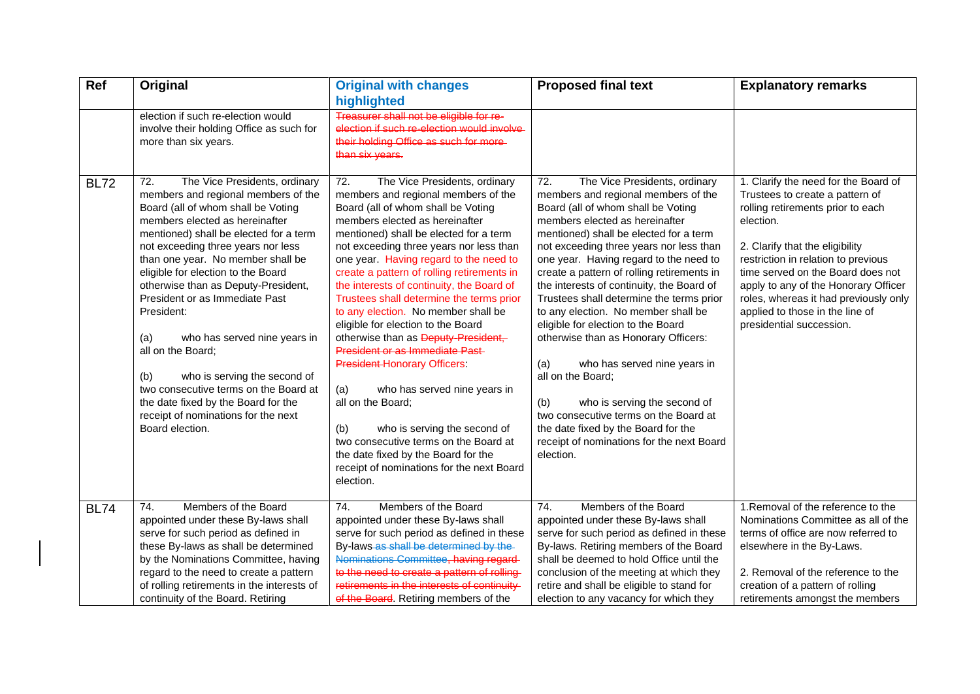| Ref         | Original                                                                                                                                                                                                                                                                                                                                                                                                                                                                                                                                                                                                                                           | <b>Original with changes</b><br>highlighted                                                                                                                                                                                                                                                                                                                                                                                                                                                                                                                                                                                                                                                                                                                                                                                                                                 | <b>Proposed final text</b>                                                                                                                                                                                                                                                                                                                                                                                                                                                                                                                                                                                                                                                                                                                                                                  | <b>Explanatory remarks</b>                                                                                                                                                                                                                                                                                                                                                               |
|-------------|----------------------------------------------------------------------------------------------------------------------------------------------------------------------------------------------------------------------------------------------------------------------------------------------------------------------------------------------------------------------------------------------------------------------------------------------------------------------------------------------------------------------------------------------------------------------------------------------------------------------------------------------------|-----------------------------------------------------------------------------------------------------------------------------------------------------------------------------------------------------------------------------------------------------------------------------------------------------------------------------------------------------------------------------------------------------------------------------------------------------------------------------------------------------------------------------------------------------------------------------------------------------------------------------------------------------------------------------------------------------------------------------------------------------------------------------------------------------------------------------------------------------------------------------|---------------------------------------------------------------------------------------------------------------------------------------------------------------------------------------------------------------------------------------------------------------------------------------------------------------------------------------------------------------------------------------------------------------------------------------------------------------------------------------------------------------------------------------------------------------------------------------------------------------------------------------------------------------------------------------------------------------------------------------------------------------------------------------------|------------------------------------------------------------------------------------------------------------------------------------------------------------------------------------------------------------------------------------------------------------------------------------------------------------------------------------------------------------------------------------------|
|             | election if such re-election would<br>involve their holding Office as such for<br>more than six years.                                                                                                                                                                                                                                                                                                                                                                                                                                                                                                                                             | Treasurer shall not be eligible for re-<br>election if such re-election would involve<br>their holding Office as such for more<br>than six years.                                                                                                                                                                                                                                                                                                                                                                                                                                                                                                                                                                                                                                                                                                                           |                                                                                                                                                                                                                                                                                                                                                                                                                                                                                                                                                                                                                                                                                                                                                                                             |                                                                                                                                                                                                                                                                                                                                                                                          |
| <b>BL72</b> | 72.<br>The Vice Presidents, ordinary<br>members and regional members of the<br>Board (all of whom shall be Voting<br>members elected as hereinafter<br>mentioned) shall be elected for a term<br>not exceeding three years nor less<br>than one year. No member shall be<br>eligible for election to the Board<br>otherwise than as Deputy-President,<br>President or as Immediate Past<br>President:<br>who has served nine years in<br>(a)<br>all on the Board;<br>who is serving the second of<br>(b)<br>two consecutive terms on the Board at<br>the date fixed by the Board for the<br>receipt of nominations for the next<br>Board election. | 72.<br>The Vice Presidents, ordinary<br>members and regional members of the<br>Board (all of whom shall be Voting<br>members elected as hereinafter<br>mentioned) shall be elected for a term<br>not exceeding three years nor less than<br>one year. Having regard to the need to<br>create a pattern of rolling retirements in<br>the interests of continuity, the Board of<br>Trustees shall determine the terms prior<br>to any election. No member shall be<br>eligible for election to the Board<br>otherwise than as Deputy-President,<br><b>President or as Immediate Past-</b><br><b>President-Honorary Officers:</b><br>(a)<br>who has served nine years in<br>all on the Board;<br>who is serving the second of<br>(b)<br>two consecutive terms on the Board at<br>the date fixed by the Board for the<br>receipt of nominations for the next Board<br>election. | 72.<br>The Vice Presidents, ordinary<br>members and regional members of the<br>Board (all of whom shall be Voting<br>members elected as hereinafter<br>mentioned) shall be elected for a term<br>not exceeding three years nor less than<br>one year. Having regard to the need to<br>create a pattern of rolling retirements in<br>the interests of continuity, the Board of<br>Trustees shall determine the terms prior<br>to any election. No member shall be<br>eligible for election to the Board<br>otherwise than as Honorary Officers:<br>(a)<br>who has served nine years in<br>all on the Board;<br>who is serving the second of<br>(b)<br>two consecutive terms on the Board at<br>the date fixed by the Board for the<br>receipt of nominations for the next Board<br>election. | 1. Clarify the need for the Board of<br>Trustees to create a pattern of<br>rolling retirements prior to each<br>election.<br>2. Clarify that the eligibility<br>restriction in relation to previous<br>time served on the Board does not<br>apply to any of the Honorary Officer<br>roles, whereas it had previously only<br>applied to those in the line of<br>presidential succession. |
| <b>BL74</b> | 74.<br>Members of the Board<br>appointed under these By-laws shall<br>serve for such period as defined in<br>these By-laws as shall be determined<br>by the Nominations Committee, having<br>regard to the need to create a pattern<br>of rolling retirements in the interests of<br>continuity of the Board. Retiring                                                                                                                                                                                                                                                                                                                             | Members of the Board<br>74.<br>appointed under these By-laws shall<br>serve for such period as defined in these<br>By-laws-as shall be determined by the-<br>Nominations Committee, having regard<br>to the need to create a pattern of rolling<br>retirements in the interests of continuity<br>of the Board. Retiring members of the                                                                                                                                                                                                                                                                                                                                                                                                                                                                                                                                      | 74.<br>Members of the Board<br>appointed under these By-laws shall<br>serve for such period as defined in these<br>By-laws. Retiring members of the Board<br>shall be deemed to hold Office until the<br>conclusion of the meeting at which they<br>retire and shall be eligible to stand for<br>election to any vacancy for which they                                                                                                                                                                                                                                                                                                                                                                                                                                                     | 1. Removal of the reference to the<br>Nominations Committee as all of the<br>terms of office are now referred to<br>elsewhere in the By-Laws.<br>2. Removal of the reference to the<br>creation of a pattern of rolling<br>retirements amongst the members                                                                                                                               |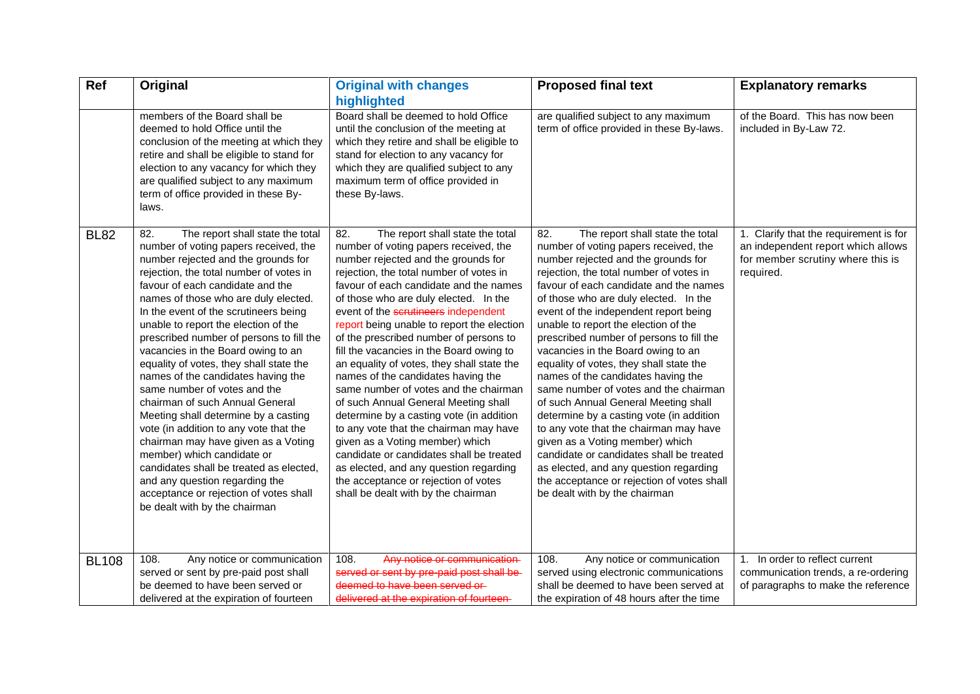| Ref          | Original                                                                                                                                                                                                                                                                                                                                                                                                                                                                                                                                                                                                                                                                                                                                                                                                                                                                             | <b>Original with changes</b><br>highlighted                                                                                                                                                                                                                                                                                                                                                                                                                                                                                                                                                                                                                                                                                                                                                                                                                                                          | <b>Proposed final text</b>                                                                                                                                                                                                                                                                                                                                                                                                                                                                                                                                                                                                                                                                                                                                                                                                                                                               | <b>Explanatory remarks</b>                                                                                                     |
|--------------|--------------------------------------------------------------------------------------------------------------------------------------------------------------------------------------------------------------------------------------------------------------------------------------------------------------------------------------------------------------------------------------------------------------------------------------------------------------------------------------------------------------------------------------------------------------------------------------------------------------------------------------------------------------------------------------------------------------------------------------------------------------------------------------------------------------------------------------------------------------------------------------|------------------------------------------------------------------------------------------------------------------------------------------------------------------------------------------------------------------------------------------------------------------------------------------------------------------------------------------------------------------------------------------------------------------------------------------------------------------------------------------------------------------------------------------------------------------------------------------------------------------------------------------------------------------------------------------------------------------------------------------------------------------------------------------------------------------------------------------------------------------------------------------------------|------------------------------------------------------------------------------------------------------------------------------------------------------------------------------------------------------------------------------------------------------------------------------------------------------------------------------------------------------------------------------------------------------------------------------------------------------------------------------------------------------------------------------------------------------------------------------------------------------------------------------------------------------------------------------------------------------------------------------------------------------------------------------------------------------------------------------------------------------------------------------------------|--------------------------------------------------------------------------------------------------------------------------------|
|              | members of the Board shall be<br>deemed to hold Office until the<br>conclusion of the meeting at which they<br>retire and shall be eligible to stand for<br>election to any vacancy for which they<br>are qualified subject to any maximum<br>term of office provided in these By-<br>laws.                                                                                                                                                                                                                                                                                                                                                                                                                                                                                                                                                                                          | Board shall be deemed to hold Office<br>until the conclusion of the meeting at<br>which they retire and shall be eligible to<br>stand for election to any vacancy for<br>which they are qualified subject to any<br>maximum term of office provided in<br>these By-laws.                                                                                                                                                                                                                                                                                                                                                                                                                                                                                                                                                                                                                             | are qualified subject to any maximum<br>term of office provided in these By-laws.                                                                                                                                                                                                                                                                                                                                                                                                                                                                                                                                                                                                                                                                                                                                                                                                        | of the Board. This has now been<br>included in By-Law 72.                                                                      |
| <b>BL82</b>  | 82.<br>The report shall state the total<br>number of voting papers received, the<br>number rejected and the grounds for<br>rejection, the total number of votes in<br>favour of each candidate and the<br>names of those who are duly elected.<br>In the event of the scrutineers being<br>unable to report the election of the<br>prescribed number of persons to fill the<br>vacancies in the Board owing to an<br>equality of votes, they shall state the<br>names of the candidates having the<br>same number of votes and the<br>chairman of such Annual General<br>Meeting shall determine by a casting<br>vote (in addition to any vote that the<br>chairman may have given as a Voting<br>member) which candidate or<br>candidates shall be treated as elected,<br>and any question regarding the<br>acceptance or rejection of votes shall<br>be dealt with by the chairman | 82.<br>The report shall state the total<br>number of voting papers received, the<br>number rejected and the grounds for<br>rejection, the total number of votes in<br>favour of each candidate and the names<br>of those who are duly elected. In the<br>event of the scrutineers independent<br>report being unable to report the election<br>of the prescribed number of persons to<br>fill the vacancies in the Board owing to<br>an equality of votes, they shall state the<br>names of the candidates having the<br>same number of votes and the chairman<br>of such Annual General Meeting shall<br>determine by a casting vote (in addition<br>to any vote that the chairman may have<br>given as a Voting member) which<br>candidate or candidates shall be treated<br>as elected, and any question regarding<br>the acceptance or rejection of votes<br>shall be dealt with by the chairman | 82.<br>The report shall state the total<br>number of voting papers received, the<br>number rejected and the grounds for<br>rejection, the total number of votes in<br>favour of each candidate and the names<br>of those who are duly elected. In the<br>event of the independent report being<br>unable to report the election of the<br>prescribed number of persons to fill the<br>vacancies in the Board owing to an<br>equality of votes, they shall state the<br>names of the candidates having the<br>same number of votes and the chairman<br>of such Annual General Meeting shall<br>determine by a casting vote (in addition<br>to any vote that the chairman may have<br>given as a Voting member) which<br>candidate or candidates shall be treated<br>as elected, and any question regarding<br>the acceptance or rejection of votes shall<br>be dealt with by the chairman | 1. Clarify that the requirement is for<br>an independent report which allows<br>for member scrutiny where this is<br>required. |
| <b>BL108</b> | 108.<br>Any notice or communication<br>served or sent by pre-paid post shall                                                                                                                                                                                                                                                                                                                                                                                                                                                                                                                                                                                                                                                                                                                                                                                                         | 108.<br>Any notice or communication<br>served or sent by pre-paid post shall be                                                                                                                                                                                                                                                                                                                                                                                                                                                                                                                                                                                                                                                                                                                                                                                                                      | 108.<br>Any notice or communication<br>served using electronic communications                                                                                                                                                                                                                                                                                                                                                                                                                                                                                                                                                                                                                                                                                                                                                                                                            | 1. In order to reflect current<br>communication trends, a re-ordering                                                          |
|              | be deemed to have been served or<br>delivered at the expiration of fourteen                                                                                                                                                                                                                                                                                                                                                                                                                                                                                                                                                                                                                                                                                                                                                                                                          | deemed to have been served or-<br>delivered at the expiration of fourteen-                                                                                                                                                                                                                                                                                                                                                                                                                                                                                                                                                                                                                                                                                                                                                                                                                           | shall be deemed to have been served at<br>the expiration of 48 hours after the time                                                                                                                                                                                                                                                                                                                                                                                                                                                                                                                                                                                                                                                                                                                                                                                                      | of paragraphs to make the reference                                                                                            |